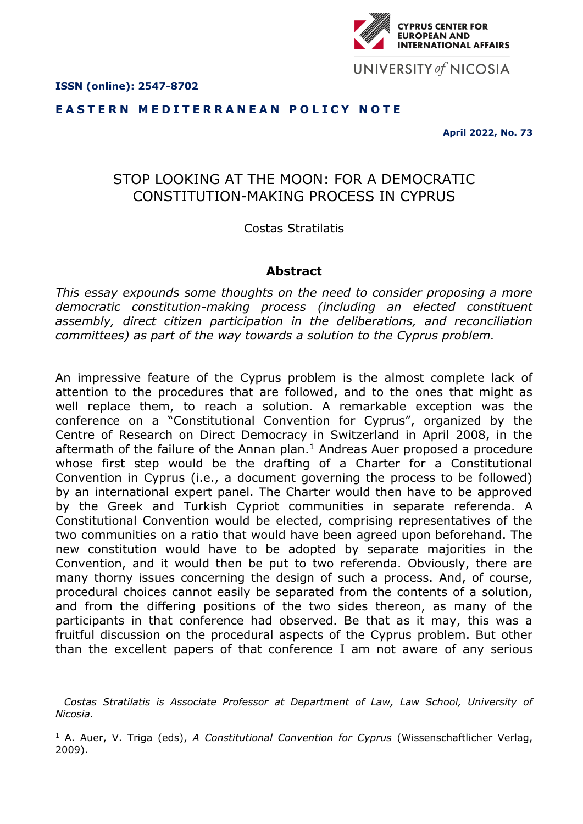

**.** 

## **E A S T E R N M E D I T E R R A N E A N P O L I C Y N O T E**

**April 2022, No. 73**

## STOP LOOKING AT THE MOON: FOR A DEMOCRATIC CONSTITUTION-MAKING PROCESS IN CYPRUS

Costas Stratilatis

## **Abstract**

*This essay expounds some thoughts on the need to consider proposing a more democratic constitution-making process (including an elected constituent assembly, direct citizen participation in the deliberations, and reconciliation committees) as part of the way towards a solution to the Cyprus problem.*

An impressive feature of the Cyprus problem is the almost complete lack of attention to the procedures that are followed, and to the ones that might as well replace them, to reach a solution. A remarkable exception was the conference on a "Constitutional Convention for Cyprus", organized by the Centre of Research on Direct Democracy in Switzerland in April 2008, in the aftermath of the failure of the Annan plan. <sup>1</sup> Andreas Auer proposed a procedure whose first step would be the drafting of a Charter for a Constitutional Convention in Cyprus (i.e., a document governing the process to be followed) by an international expert panel. The Charter would then have to be approved by the Greek and Turkish Cypriot communities in separate referenda. A Constitutional Convention would be elected, comprising representatives of the two communities on a ratio that would have been agreed upon beforehand. The new constitution would have to be adopted by separate majorities in the Convention, and it would then be put to two referenda. Obviously, there are many thorny issues concerning the design of such a process. And, of course, procedural choices cannot easily be separated from the contents of a solution, and from the differing positions of the two sides thereon, as many of the participants in that conference had observed. Be that as it may, this was a fruitful discussion on the procedural aspects of the Cyprus problem. But other than the excellent papers of that conference I am not aware of any serious



*Costas Stratilatis is Associate Professor at Department of Law, Law School, University of Nicosia.*

<sup>&</sup>lt;sup>1</sup> A. Auer, V. Triga (eds), *A Constitutional Convention for Cyprus* (Wissenschaftlicher Verlag, 2009).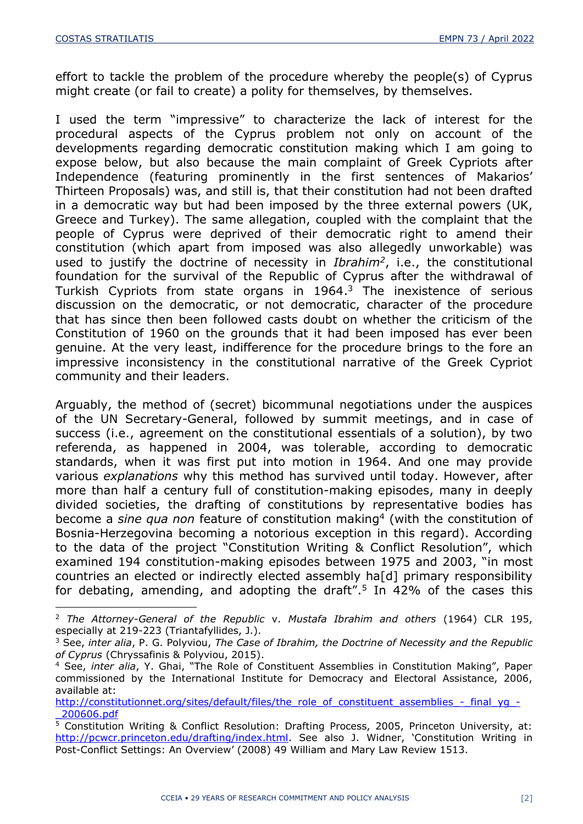1

effort to tackle the problem of the procedure whereby the people(s) of Cyprus might create (or fail to create) a polity for themselves, by themselves.

I used the term "impressive" to characterize the lack of interest for the procedural aspects of the Cyprus problem not only on account of the developments regarding democratic constitution making which I am going to expose below, but also because the main complaint of Greek Cypriots after Independence (featuring prominently in the first sentences of Makarios' Thirteen Proposals) was, and still is, that their constitution had not been drafted in a democratic way but had been imposed by the three external powers (UK, Greece and Turkey). The same allegation, coupled with the complaint that the people of Cyprus were deprived of their democratic right to amend their constitution (which apart from imposed was also allegedly unworkable) was used to justify the doctrine of necessity in *Ibrahim<sup>2</sup>* , i.e., the constitutional foundation for the survival of the Republic of Cyprus after the withdrawal of Turkish Cypriots from state organs in 1964. <sup>3</sup> The inexistence of serious discussion on the democratic, or not democratic, character of the procedure that has since then been followed casts doubt on whether the criticism of the Constitution of 1960 on the grounds that it had been imposed has ever been genuine. At the very least, indifference for the procedure brings to the fore an impressive inconsistency in the constitutional narrative of the Greek Cypriot community and their leaders.

Arguably, the method of (secret) bicommunal negotiations under the auspices of the UN Secretary-General, followed by summit meetings, and in case of success (i.e., agreement on the constitutional essentials of a solution), by two referenda, as happened in 2004, was tolerable, according to democratic standards, when it was first put into motion in 1964. And one may provide various *explanations* why this method has survived until today. However, after more than half a century full of constitution-making episodes, many in deeply divided societies, the drafting of constitutions by representative bodies has become a *sine qua non* feature of constitution making<sup>4</sup> (with the constitution of Bosnia-Herzegovina becoming a notorious exception in this regard). According to the data of the project "Constitution Writing & Conflict Resolution", which examined 194 constitution-making episodes between 1975 and 2003, "in most countries an elected or indirectly elected assembly ha[d] primary responsibility for debating, amending, and adopting the draft". 5 In 42% of the cases this

<sup>2</sup> *The Attorney-General of the Republic* v. *Mustafa Ibrahim and others* (1964) CLR 195, especially at 219-223 (Triantafyllides, J.).

<sup>3</sup> See, *inter alia*, P. G. Polyviou, *The Case of Ibrahim, the Doctrine of Necessity and the Republic of Cyprus* (Chryssafinis & Polyviou, 2015).

<sup>4</sup> See, *inter alia*, Y. Ghai, "The Role of Constituent Assemblies in Constitution Making", Paper commissioned by the International Institute for Democracy and Electoral Assistance, 2006, available at:

[http://constitutionnet.org/sites/default/files/the\\_role\\_of\\_constituent\\_assemblies\\_-\\_final\\_yg\\_-](http://constitutionnet.org/sites/default/files/the_role_of_constituent_assemblies_-_final_yg_-_200606.pdf) [\\_200606.pdf](http://constitutionnet.org/sites/default/files/the_role_of_constituent_assemblies_-_final_yg_-_200606.pdf)

<sup>&</sup>lt;sup>5</sup> Constitution Writing & Conflict Resolution: Drafting Process, 2005, Princeton University, at: <http://pcwcr.princeton.edu/drafting/index.html>. See also J. Widner, 'Constitution Writing in Post-Conflict Settings: An Overview' (2008) 49 William and Mary Law Review 1513.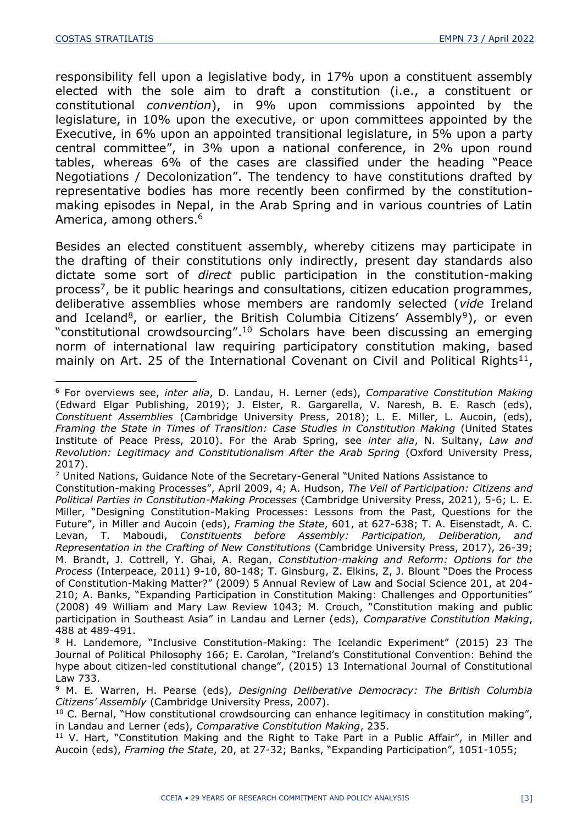responsibility fell upon a legislative body, in 17% upon a constituent assembly elected with the sole aim to draft a constitution (i.e., a constituent or constitutional *convention*), in 9% upon commissions appointed by the legislature, in 10% upon the executive, or upon committees appointed by the Executive, in 6% upon an appointed transitional legislature, in 5% upon a party central committee", in 3% upon a national conference, in 2% upon round tables, whereas 6% of the cases are classified under the heading "Peace Negotiations / Decolonization". The tendency to have constitutions drafted by representative bodies has more recently been confirmed by the constitutionmaking episodes in Nepal, in the Arab Spring and in various countries of Latin America, among others. 6

Besides an elected constituent assembly, whereby citizens may participate in the drafting of their constitutions only indirectly, present day standards also dictate some sort of *direct* public participation in the constitution-making process<sup>7</sup>, be it public hearings and consultations, citizen education programmes, deliberative assemblies whose members are randomly selected (*vide* Ireland and Iceland<sup>8</sup>, or earlier, the British Columbia Citizens' Assembly<sup>9</sup>), or even "constitutional crowdsourcing". <sup>10</sup> Scholars have been discussing an emerging norm of international law requiring participatory constitution making, based mainly on Art. 25 of the International Covenant on Civil and Political Rights<sup>11</sup>,

<sup>-</sup><sup>6</sup> For overviews see, *inter alia*, D. Landau, H. Lerner (eds), *Comparative Constitution Making* (Edward Elgar Publishing, 2019); J. Elster, R. Gargarella, V. Naresh, B. E. Rasch (eds), *Constituent Assemblies* (Cambridge University Press, 2018); L. E. Miller, L. Aucoin, (eds), *Framing the State in Times of Transition: Case Studies in Constitution Making* (United States Institute of Peace Press, 2010). For the Arab Spring, see *inter alia*, N. Sultany, *Law and Revolution: Legitimacy and Constitutionalism After the Arab Spring* (Oxford University Press, 2017).

<sup>7</sup> United Nations, Guidance Note of the Secretary-General "United Nations Assistance to

Constitution-making Processes", April 2009, 4; A. Hudson, *The Veil of Participation: Citizens and Political Parties in Constitution-Making Processes* (Cambridge University Press, 2021), 5-6; L. E. Miller, "Designing Constitution-Making Processes: Lessons from the Past, Questions for the Future", in Miller and Aucoin (eds), *Framing the State*, 601, at 627-638; T. A. Eisenstadt, A. C. Levan, T. Maboudi, *Constituents before Assembly: Participation, Deliberation, and Representation in the Crafting of New Constitutions* (Cambridge University Press, 2017), 26-39; M. Brandt, J. Cottrell, Y. Ghai, A. Regan, *Constitution-making and Reform: Options for the Process* (Interpeace, 2011) 9-10, 80-148; T. Ginsburg, Z. Elkins, Z, J. Blount "Does the Process of Constitution-Making Matter?" (2009) 5 Annual Review of Law and Social Science 201, at 204- 210; A. Banks, "Expanding Participation in Constitution Making: Challenges and Opportunities" (2008) 49 William and Mary Law Review 1043; M. Crouch, "Constitution making and public participation in Southeast Asia" in Landau and Lerner (eds), *Comparative Constitution Making*, 488 at 489-491.

<sup>&</sup>lt;sup>8</sup> H. Landemore, "Inclusive Constitution-Making: The Icelandic Experiment" (2015) 23 The Journal of Political Philosophy 166; E. Carolan, "Ireland's Constitutional Convention: Behind the hype about citizen-led constitutional change", (2015) 13 International Journal of Constitutional Law 733.

<sup>9</sup> M. E. Warren, H. Pearse (eds), *Designing Deliberative Democracy: The British Columbia Citizens' Assembly* (Cambridge University Press, 2007).

 $10$  C. Bernal, "How constitutional crowdsourcing can enhance legitimacy in constitution making", in Landau and Lerner (eds), *Comparative Constitution Making*, 235.

 $11$  V. Hart, "Constitution Making and the Right to Take Part in a Public Affair", in Miller and Aucoin (eds), *Framing the State*, 20, at 27-32; Banks, "Expanding Participation", 1051-1055;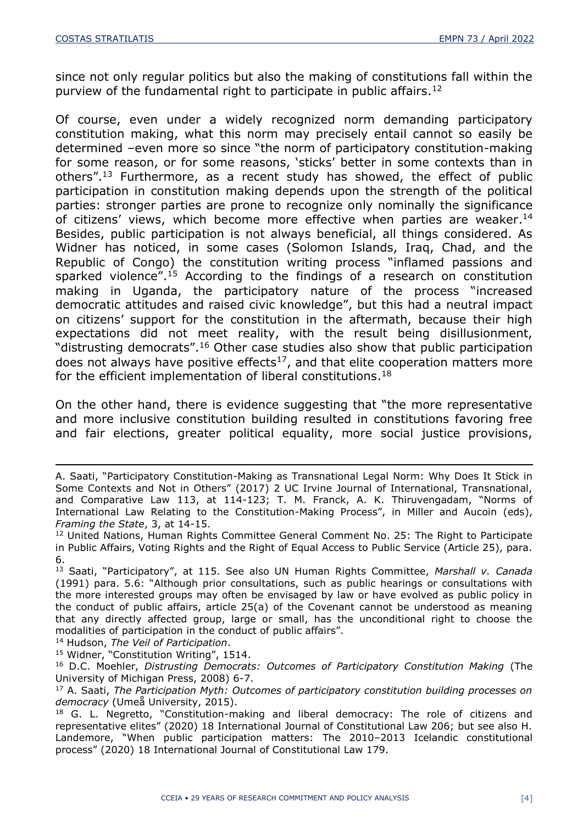since not only regular politics but also the making of constitutions fall within the purview of the fundamental right to participate in public affairs. 12

Of course, even under a widely recognized norm demanding participatory constitution making, what this norm may precisely entail cannot so easily be determined –even more so since "the norm of participatory constitution-making for some reason, or for some reasons, 'sticks' better in some contexts than in others". <sup>13</sup> Furthermore, as a recent study has showed, the effect of public participation in constitution making depends upon the strength of the political parties: stronger parties are prone to recognize only nominally the significance of citizens' views, which become more effective when parties are weaker.<sup>14</sup> Besides, public participation is not always beneficial, all things considered. As Widner has noticed, in some cases (Solomon Islands, Iraq, Chad, and the Republic of Congo) the constitution writing process "inflamed passions and sparked violence". <sup>15</sup> According to the findings of a research on constitution making in Uganda, the participatory nature of the process "increased democratic attitudes and raised civic knowledge", but this had a neutral impact on citizens' support for the constitution in the aftermath, because their high expectations did not meet reality, with the result being disillusionment, "distrusting democrats". <sup>16</sup> Other case studies also show that public participation does not always have positive effects<sup>17</sup>, and that elite cooperation matters more for the efficient implementation of liberal constitutions.<sup>18</sup>

On the other hand, there is evidence suggesting that "the more representative and more inclusive constitution building resulted in constitutions favoring free and fair elections, greater political equality, more social justice provisions,

<sup>14</sup> Hudson, *The Veil of Participation*.

-

<sup>15</sup> Widner, "Constitution Writing", 1514.

A. Saati, "Participatory Constitution-Making as Transnational Legal Norm: Why Does It Stick in Some Contexts and Not in Others" (2017) 2 UC Irvine Journal of International, Transnational, and Comparative Law 113, at 114-123; T. M. Franck, A. K. Thiruvengadam, "Norms of International Law Relating to the Constitution-Making Process", in Miller and Aucoin (eds), *Framing the State*, 3, at 14-15.

<sup>&</sup>lt;sup>12</sup> United Nations, Human Rights Committee General Comment No. 25: The Right to Participate in Public Affairs, Voting Rights and the Right of Equal Access to Public Service (Article 25), para. 6.

<sup>13</sup> Saati, "Participatory", at 115. See also UN Human Rights Committee, *Marshall v. Canada* (1991) para. 5.6: "Although prior consultations, such as public hearings or consultations with the more interested groups may often be envisaged by law or have evolved as public policy in the conduct of public affairs, article 25(a) of the Covenant cannot be understood as meaning that any directly affected group, large or small, has the unconditional right to choose the modalities of participation in the conduct of public affairs".

<sup>16</sup> D.C. Moehler, *Distrusting Democrats: Outcomes of Participatory Constitution Making* (The University of Michigan Press, 2008) 6-7.

<sup>17</sup> A. Saati, *The Participation Myth: Outcomes of participatory constitution building processes on democracy* (Umeå University, 2015).

<sup>&</sup>lt;sup>18</sup> G. L. Negretto, "Constitution-making and liberal democracy: The role of citizens and representative elites" (2020) 18 International Journal of Constitutional Law 206; but see also H. Landemore, "When public participation matters: The 2010–2013 Icelandic constitutional process" (2020) 18 International Journal of Constitutional Law 179.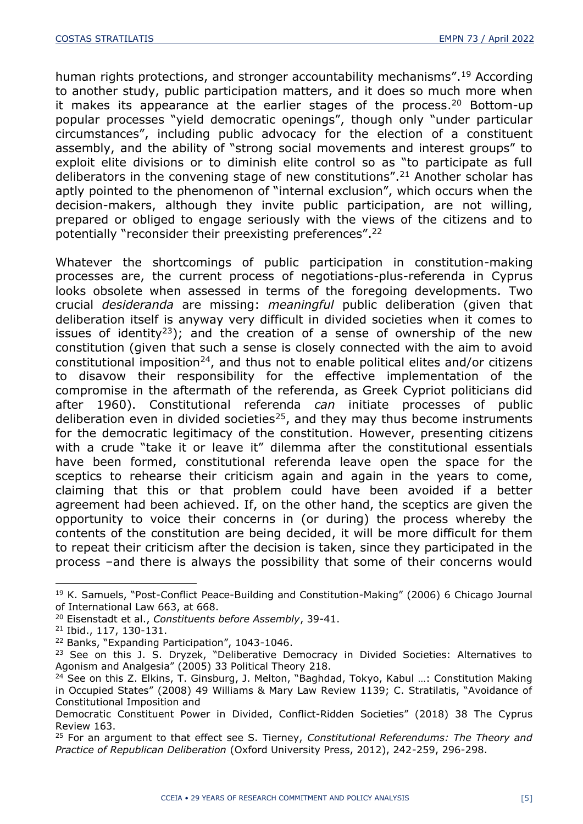human rights protections, and stronger accountability mechanisms".<sup>19</sup> According to another study, public participation matters, and it does so much more when it makes its appearance at the earlier stages of the process. <sup>20</sup> Bottom-up popular processes "yield democratic openings", though only "under particular circumstances", including public advocacy for the election of a constituent assembly, and the ability of "strong social movements and interest groups" to exploit elite divisions or to diminish elite control so as "to participate as full deliberators in the convening stage of new constitutions". <sup>21</sup> Another scholar has aptly pointed to the phenomenon of "internal exclusion", which occurs when the decision-makers, although they invite public participation, are not willing, prepared or obliged to engage seriously with the views of the citizens and to potentially "reconsider their preexisting preferences". 22

Whatever the shortcomings of public participation in constitution-making processes are, the current process of negotiations-plus-referenda in Cyprus looks obsolete when assessed in terms of the foregoing developments. Two crucial *desideranda* are missing: *meaningful* public deliberation (given that deliberation itself is anyway very difficult in divided societies when it comes to issues of identity<sup>23</sup>); and the creation of a sense of ownership of the new constitution (given that such a sense is closely connected with the aim to avoid constitutional imposition<sup>24</sup>, and thus not to enable political elites and/or citizens to disavow their responsibility for the effective implementation of the compromise in the aftermath of the referenda, as Greek Cypriot politicians did after 1960). Constitutional referenda *can* initiate processes of public deliberation even in divided societies<sup>25</sup>, and they may thus become instruments for the democratic legitimacy of the constitution. However, presenting citizens with a crude "take it or leave it" dilemma after the constitutional essentials have been formed, constitutional referenda leave open the space for the sceptics to rehearse their criticism again and again in the years to come, claiming that this or that problem could have been avoided if a better agreement had been achieved. If, on the other hand, the sceptics are given the opportunity to voice their concerns in (or during) the process whereby the contents of the constitution are being decided, it will be more difficult for them to repeat their criticism after the decision is taken, since they participated in the process –and there is always the possibility that some of their concerns would

1

<sup>19</sup> K. Samuels, "Post-Conflict Peace-Building and Constitution-Making" (2006) 6 Chicago Journal of International Law 663, at 668.

<sup>20</sup> Eisenstadt et al., *Constituents before Assembly*, 39-41.

<sup>21</sup> Ibid., 117, 130-131.

<sup>22</sup> Banks, "Expanding Participation", 1043-1046.

<sup>&</sup>lt;sup>23</sup> See on this J. S. Dryzek, "Deliberative Democracy in Divided Societies: Alternatives to Agonism and Analgesia" (2005) 33 Political Theory 218.

<sup>&</sup>lt;sup>24</sup> See on this Z. Elkins, T. Ginsburg, J. Melton, "Baghdad, Tokyo, Kabul ...: Constitution Making in Occupied States" (2008) 49 Williams & Mary Law Review 1139; C. Stratilatis, "Avoidance of Constitutional Imposition and

Democratic Constituent Power in Divided, Conflict-Ridden Societies" (2018) 38 The Cyprus Review 163.

<sup>25</sup> For an argument to that effect see S. Tierney, *Constitutional Referendums: The Theory and Practice of Republican Deliberation* (Oxford University Press, 2012), 242-259, 296-298.